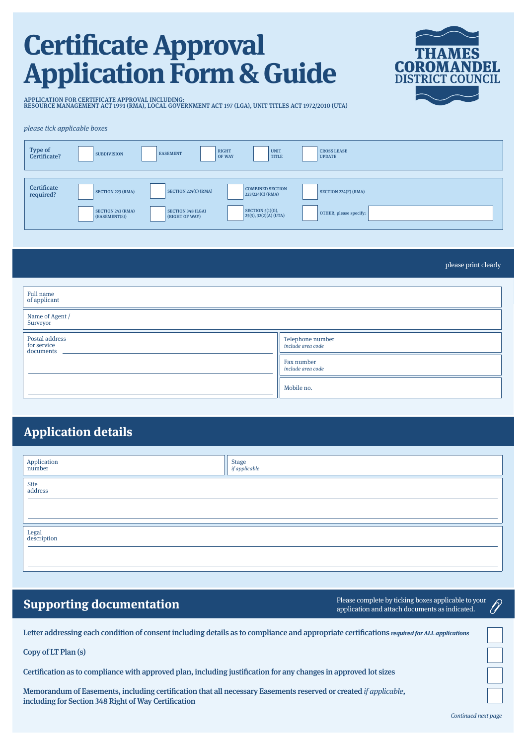# **Certi!cate Approval Application Form & Guide**



APPLICATION FOR CERTIFICATE APPROVAL INCLUDING: RESOURCE MANAGEMENT ACT 1991 (RMA), LOCAL GOVERNMENT ACT 197 (LGA), UNIT TITLES ACT 1972/2010 (UTA)

### please tick applicable boxes

| <b>Type of</b><br>Certificate? | <b>SUBDIVISION</b>                      | <b>EASEMENT</b>                            | <b>RIGHT</b><br><b>UNIT</b><br><b>TITLE</b><br><b>OF WAY</b> | <b>CROSS LEASE</b><br><b>UPDATE</b>    |
|--------------------------------|-----------------------------------------|--------------------------------------------|--------------------------------------------------------------|----------------------------------------|
| Certificate<br>required?       | <b>SECTION 223 (RMA)</b>                | SECTION 224(C) (RMA)                       | <b>COMBINED SECTION</b><br>$223/224(C)$ (RMA)                | $\text{SECTION } 224(F) \text{ (RMA)}$ |
|                                | <b>SECTION 243 (RMA)</b><br>EASEMENT(S) | <b>SECTION 348 (LGA)</b><br>(RIGHT OF WAY) | SECTION $5(1)(G)$ ,<br>$25(5), 32(2)(A)$ (UTA)               | OTHER, please specify:                 |

please print clearly

| Full name<br>of applicant                  |                                       |  |  |
|--------------------------------------------|---------------------------------------|--|--|
| Name of Agent /<br>Surveyor                |                                       |  |  |
| Postal address<br>for service<br>documents | Telephone number<br>include area code |  |  |
|                                            | Fax number<br>include area code       |  |  |
|                                            | Mobile no.                            |  |  |

### **Application details**

| Application<br>number | Stage<br>if applicable |
|-----------------------|------------------------|
| Site<br>address       |                        |
| Legal<br>description  |                        |

**Supporting documentation** application and attach documents as indicated.

Letter addressing each condition of consent including details as to compliance and appropriate certifications *required for ALL applications* 

Copy of LT Plan (s)

Certification as to compliance with approved plan, including justification for any changes in approved lot sizes

Memorandum of Easements, including certification that all necessary Easements reserved or created if applicable, including for Section 348 Right of Way Certification